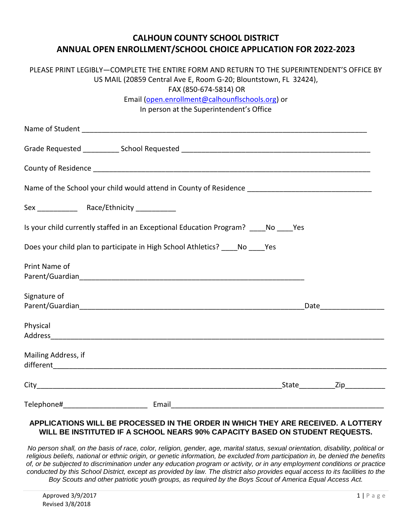## **CALHOUN COUNTY SCHOOL DISTRICT ANNUAL OPEN ENROLLMENT/SCHOOL CHOICE APPLICATION FOR 2022-2023**

| PLEASE PRINT LEGIBLY-COMPLETE THE ENTIRE FORM AND RETURN TO THE SUPERINTENDENT'S OFFICE BY           |                                                                                                               |
|------------------------------------------------------------------------------------------------------|---------------------------------------------------------------------------------------------------------------|
| US MAIL (20859 Central Ave E, Room G-20; Blountstown, FL 32424),<br>FAX (850-674-5814) OR            |                                                                                                               |
| Email (open.enrollment@calhounflschools.org) or                                                      |                                                                                                               |
| In person at the Superintendent's Office                                                             |                                                                                                               |
|                                                                                                      |                                                                                                               |
|                                                                                                      |                                                                                                               |
|                                                                                                      |                                                                                                               |
|                                                                                                      |                                                                                                               |
| Name of the School your child would attend in County of Residence __________________________________ |                                                                                                               |
|                                                                                                      |                                                                                                               |
| Is your child currently staffed in an Exceptional Education Program? No Yes                          |                                                                                                               |
| Does your child plan to participate in High School Athletics? _____ No _____ Yes                     |                                                                                                               |
| Print Name of                                                                                        |                                                                                                               |
|                                                                                                      |                                                                                                               |
|                                                                                                      |                                                                                                               |
| Signature of                                                                                         |                                                                                                               |
|                                                                                                      | Date and the state of the state of the state of the state of the state of the state of the state of the state |
|                                                                                                      |                                                                                                               |
| Physical                                                                                             |                                                                                                               |
|                                                                                                      |                                                                                                               |
| Mailing Address, if                                                                                  |                                                                                                               |
|                                                                                                      |                                                                                                               |
|                                                                                                      |                                                                                                               |
| Telephone#<br>__________________________________ Email_                                              |                                                                                                               |

## **APPLICATIONS WILL BE PROCESSED IN THE ORDER IN WHICH THEY ARE RECEIVED. A LOTTERY WILL BE INSTITUTED IF A SCHOOL NEARS 90% CAPACITY BASED ON STUDENT REQUESTS.**

*No person shall, on the basis of race, color, religion, gender, age, marital status, sexual orientation, disability, political or religious beliefs, national or ethnic origin, or genetic information, be excluded from participation in, be denied the benefits of, or be subjected to discrimination under any education program or activity, or in any employment conditions or practice conducted by this School District, except as provided by law. The district also provides equal access to its facilities to the Boy Scouts and other patriotic youth groups, as required by the Boys Scout of America Equal Access Act.*